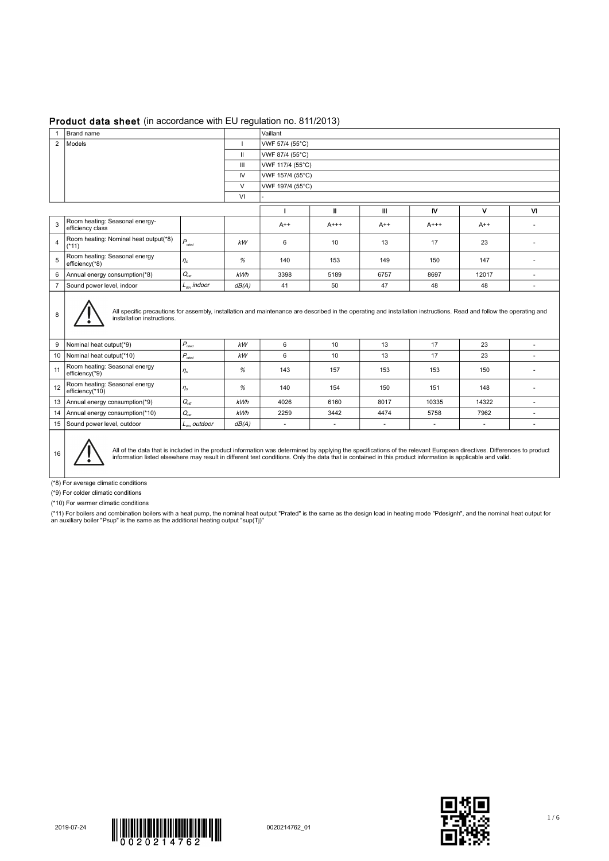## Product data sheet (in accordance with EU regulation no. 811/2013)

| $\mathbf{1}$   | Brand name                                                                                                                                                                                        |                                     |       | Vaillant                 |              |                          |                          |                          |           |  |
|----------------|---------------------------------------------------------------------------------------------------------------------------------------------------------------------------------------------------|-------------------------------------|-------|--------------------------|--------------|--------------------------|--------------------------|--------------------------|-----------|--|
| $\overline{2}$ | Models                                                                                                                                                                                            | VWF 57/4 (55°C)                     |       |                          |              |                          |                          |                          |           |  |
|                | $\mathbf{II}$                                                                                                                                                                                     |                                     |       | VWF 87/4 (55°C)          |              |                          |                          |                          |           |  |
|                |                                                                                                                                                                                                   |                                     | Ш     | VWF 117/4 (55°C)         |              |                          |                          |                          |           |  |
|                |                                                                                                                                                                                                   |                                     | IV    | VWF 157/4 (55°C)         |              |                          |                          |                          |           |  |
|                |                                                                                                                                                                                                   |                                     |       | VWF 197/4 (55°C)         |              |                          |                          |                          |           |  |
|                |                                                                                                                                                                                                   |                                     |       |                          |              |                          |                          |                          |           |  |
|                |                                                                                                                                                                                                   |                                     |       |                          | $\mathbf{I}$ | Ш                        | <b>IV</b>                | $\mathbf{v}$             | <b>VI</b> |  |
| 3              | Room heating: Seasonal energy-<br>efficiency class                                                                                                                                                |                                     |       | $A++$                    | $A++$        | $A++$                    | $A++$                    | $A++$                    |           |  |
| 4              | Room heating: Nominal heat output(*8)<br>$(*11)$                                                                                                                                                  | $P_{\text{rated}}$                  | kW    | 6                        | 10           | 13                       | 17                       | 23                       | ٠         |  |
| 5              | Room heating: Seasonal energy<br>efficiency(*8)                                                                                                                                                   | $\eta_s$                            | %     | 140                      | 153          | 149                      | 150                      | 147                      | ٠         |  |
| 6              | $Q_{HE}$<br>Annual energy consumption(*8)                                                                                                                                                         |                                     | kWh   | 3398                     | 5189         | 6757                     | 8697                     | 12017                    | ÷.        |  |
| $\overline{7}$ | $L_{wa}$ indoor<br>Sound power level, indoor                                                                                                                                                      |                                     | dB(A) | 41                       | 50           | 47                       | 48                       | 48                       | ٠         |  |
| 8              | All specific precautions for assembly, installation and maintenance are described in the operating and installation instructions. Read and follow the operating and<br>installation instructions. |                                     |       |                          |              |                          |                          |                          |           |  |
| 9              | Nominal heat output(*9)                                                                                                                                                                           | $P_{\text{rated}}$                  | kW    | 6                        | 10           | 13                       | 17                       | 23                       | $\sim$    |  |
|                | $P_{\text{rated}}$<br>10   Nominal heat output(*10)                                                                                                                                               |                                     | kW    | 6                        | 10           | 13                       | 17                       | 23                       | ٠         |  |
| 11             | Room heating: Seasonal energy<br>efficiency(*9)                                                                                                                                                   | $\eta_s$                            | %     | 143                      | 157          | 153                      | 153                      | 150                      | ٠         |  |
| 12             | Room heating: Seasonal energy<br>efficiency(*10)                                                                                                                                                  | $\eta_s$                            | %     | 140                      | 154          | 150                      | 151                      | 148                      | $\sim$    |  |
| 13             | Annual energy consumption(*9)                                                                                                                                                                     | $Q_{\scriptscriptstyle\mathsf{HE}}$ | kWh   | 4026                     | 6160         | 8017                     | 10335                    | 14322                    | ٠         |  |
| 14             | Annual energy consumption(*10)                                                                                                                                                                    | $Q_{HE}$                            | kWh   | 2259                     | 3442         | 4474                     | 5758                     | 7962                     | ٠         |  |
|                | 15 Sound power level, outdoor                                                                                                                                                                     | $L_{wa}$ outdoor                    | dB(A) | $\overline{\phantom{a}}$ | $\sim$       | $\overline{\phantom{a}}$ | $\overline{\phantom{a}}$ | $\overline{\phantom{a}}$ | $\sim$    |  |
|                | Æ<br>.                                                                                                                                                                                            |                                     |       |                          |              |                          |                          |                          |           |  |

All of the data that is included in the product information was determined by applying the specifications of the relevant European directives. Differences to product ||<br>| information listed elsewhere may result in differen

(\*8) For average climatic conditions

(\*9) For colder climatic conditions

(\*10) For warmer climatic conditions

(\*11) For boilers and combination boilers with a heat pump, the nominal heat output "Prated" is the same as the design load in heating mode "Pdesignh", and the nominal heat output for<br>an auxiliary boiler "Psup" is the sam



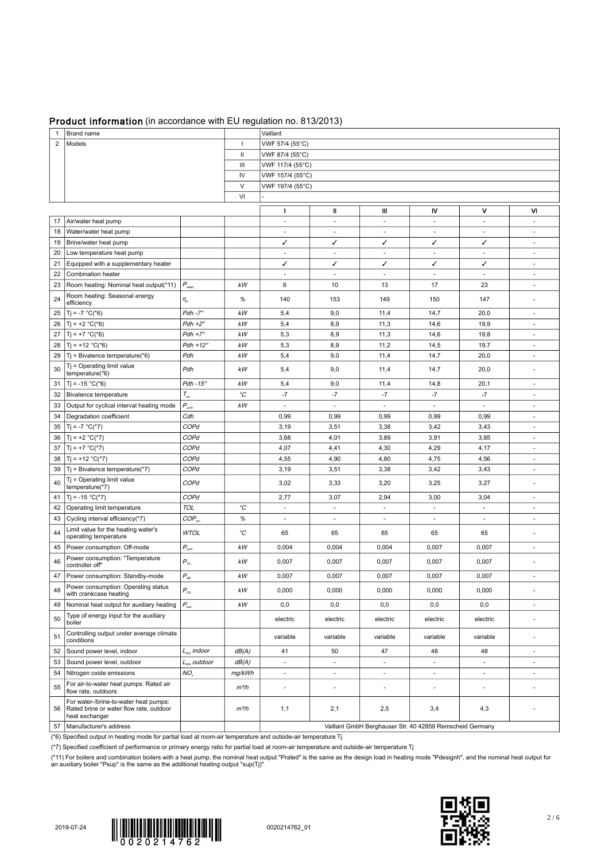## Product information (in accordance with EU regulation no. 813/2013)

|                |                                                                                                    |                              |                  | 0.001110.010120107                                       |                          |                          |                          |                          |                          |  |  |
|----------------|----------------------------------------------------------------------------------------------------|------------------------------|------------------|----------------------------------------------------------|--------------------------|--------------------------|--------------------------|--------------------------|--------------------------|--|--|
| $\mathbf{1}$   | Brand name                                                                                         |                              |                  | Vaillant                                                 |                          |                          |                          |                          |                          |  |  |
| $\overline{2}$ | Models<br>ı.                                                                                       |                              |                  | VWF 57/4 (55°C)                                          |                          |                          |                          |                          |                          |  |  |
|                | Ш<br>Ш                                                                                             |                              |                  | VWF 87/4 (55°C)                                          |                          |                          |                          |                          |                          |  |  |
|                |                                                                                                    | VWF 117/4 (55°C)             |                  |                                                          |                          |                          |                          |                          |                          |  |  |
|                |                                                                                                    |                              | IV               | VWF 157/4 (55°C)                                         |                          |                          |                          |                          |                          |  |  |
|                |                                                                                                    | $\vee$                       | VWF 197/4 (55°C) |                                                          |                          |                          |                          |                          |                          |  |  |
|                |                                                                                                    |                              | VI               |                                                          |                          |                          |                          |                          |                          |  |  |
|                |                                                                                                    |                              |                  | $\mathbf{I}$                                             | Ш                        | Ш                        | N                        | ٧                        | VI                       |  |  |
|                | 17   Air/water heat pump                                                                           |                              |                  | $\overline{\phantom{a}}$                                 | $\sim$                   | ÷.                       | $\overline{\phantom{a}}$ | $\overline{\phantom{a}}$ | $\sim$                   |  |  |
| 18             | Water/water heat pump                                                                              |                              |                  | ×.                                                       | ×.                       | ×.                       | $\overline{\phantom{a}}$ | ×.                       | ×.                       |  |  |
|                | 19   Brine/water heat pump                                                                         |                              |                  | ✓                                                        | ✓                        | ✓                        | ✓                        | ✓                        | $\overline{\phantom{a}}$ |  |  |
| 20             | Low temperature heat pump                                                                          |                              |                  | ×.                                                       | $\overline{\phantom{a}}$ | $\overline{\phantom{a}}$ | $\overline{\phantom{a}}$ | $\overline{\phantom{a}}$ | $\sim$                   |  |  |
|                | 21 Equipped with a supplementary heater                                                            |                              |                  | ✓                                                        | ✓                        | ✓                        | ✓                        | ✓                        | $\sim$                   |  |  |
| 22             | Combination heater                                                                                 |                              |                  | $\sim$                                                   | $\overline{\phantom{a}}$ | $\overline{\phantom{a}}$ | $\blacksquare$           | $\sim$                   | $\sim$                   |  |  |
| 23             | Room heating: Nominal heat output(*11) $ P_{\text{rate}} $                                         |                              | kW               | 6                                                        | 10                       | 13                       | 17                       | 23                       | $\sim$                   |  |  |
| 24             | Room heating: Seasonal energy<br>efficiency                                                        | $\eta_s$                     | %                | 140                                                      | 153                      | 149                      | 150                      | 147                      | $\sim$                   |  |  |
|                | 25   Tj = -7 $^{\circ}$ C( $^{\ast}$ 6)                                                            | $Pdh - 7^\circ$              | $kW$             | 5,4                                                      | 9,0                      | 11,4                     | 14,7                     | 20,0                     | $\sim$                   |  |  |
| 26             | $Tj = +2 °C(*6)$                                                                                   | $Pdh + 2^{\circ}$            | kW               | 5,4                                                      | 8,9                      | 11,3                     | 14,6                     | 19,9                     | ×.                       |  |  |
| 27             | $T_1 = +7 °C(*6)$                                                                                  | $Pdh + 7^\circ$              | $kW$             | 5,3                                                      | 8,9                      | 11,3                     | 14,6                     | 19,8                     | $\overline{\phantom{a}}$ |  |  |
|                | 28   Tj = +12 $^{\circ}$ C(*6)                                                                     | $Pdh + 12^{\circ}$           | $kW$             | 5,3                                                      | 8,9                      | 11,2                     | 14,5                     | 19,7                     | $\sim$                   |  |  |
| 29             | $Tj$ = Bivalence temperature(*6)                                                                   | Pdh                          | kW               | 5,4                                                      | 9,0                      | 11,4                     | 14,7                     | 20,0                     | $\overline{\phantom{a}}$ |  |  |
|                | $Tj = Operating$ limit value                                                                       |                              |                  |                                                          |                          |                          |                          |                          |                          |  |  |
| 30             | temperature(*6)                                                                                    | Pdh                          | kW               | 5,4                                                      | 9,0                      | 11,4                     | 14,7                     | 20,0                     | ÷,                       |  |  |
|                | 31   Tj = -15 $^{\circ}$ C(*6)                                                                     | $Pdh - 15^\circ$             | kW               | 5,4                                                      | 9,0                      | 11,4                     | 14,8                     | 20,1                     | $\overline{\phantom{a}}$ |  |  |
|                | 32   Bivalence temperature                                                                         | $T_{\scriptscriptstyle biv}$ | $^{\circ}C$      | $-7$                                                     | $-7$                     | $-7$                     | $-7$                     | $-7$                     | $\sim$                   |  |  |
|                | 33 Output for cyclical interval heating mode                                                       | $P_{\rm_{cych}}$             | kW               | $\sim$                                                   | $\sim$                   | $\sim$                   | ٠                        | $\sim$                   | $\sim$                   |  |  |
| 34             | Degradation coefficient                                                                            | Cdh                          |                  | 0,99                                                     | 0,99                     | 0,99                     | 0,99                     | 0,99                     | $\overline{a}$           |  |  |
| 35             | $Tj = -7 °C(*7)$                                                                                   | COPd                         |                  | 3,19                                                     | 3,51                     | 3,38                     | 3,42                     | 3,43                     | $\sim$                   |  |  |
| 36             | $Tj = +2 °C(*7)$                                                                                   | COPd                         |                  | 3,68                                                     | 4,01                     | 3,89                     | 3,91                     | 3,85                     | $\sim$                   |  |  |
|                | 37   Tj = +7 $^{\circ}$ C(*7)                                                                      | COPd                         |                  | 4,07                                                     | 4,41                     | 4,30                     | 4,29                     | 4,17                     | $\sim$                   |  |  |
| 38             | $ T  = +12 °C(*7)$                                                                                 | COPd                         |                  | 4,55                                                     | 4,90                     | 4,80                     | 4,75                     | 4,56                     | ×.                       |  |  |
| 39             | Tj = Bivalence temperature(*7)                                                                     | COPd                         |                  | 3,19                                                     | 3,51                     | 3,38                     | 3,42                     | 3,43                     | $\overline{\phantom{a}}$ |  |  |
| 40             | $Tj = Operating$ limit value<br>temperature(*7)                                                    | COPd                         |                  | 3,02                                                     | 3,33                     | 3,20                     | 3,25                     | 3,27                     | $\sim$                   |  |  |
|                | 41   Tj = -15 $^{\circ}$ C(*7)                                                                     | COPd                         |                  | 2,77                                                     | 3,07                     | 2,94                     | 3,00                     | 3,04                     | $\sim$                   |  |  |
|                | 42   Operating limit temperature                                                                   | <b>TOL</b>                   | $^{\circ}C$      | $\blacksquare$                                           | $\blacksquare$           | ÷,                       | ÷.                       | $\overline{\phantom{a}}$ | ×.                       |  |  |
|                | 43   Cycling interval efficiency(*7)                                                               | $COP_{cyc}$                  | %                | $\overline{\phantom{a}}$                                 | $\overline{\phantom{a}}$ | $\overline{\phantom{a}}$ | $\overline{\phantom{a}}$ | $\overline{\phantom{a}}$ | $\overline{\phantom{a}}$ |  |  |
|                | Limit value for the heating water's                                                                |                              |                  |                                                          |                          |                          |                          |                          |                          |  |  |
| 44             | operating temperature                                                                              | <b>WTOL</b>                  | °C               | 65                                                       | 65                       | 65                       | 65                       | 65                       | $\sim$                   |  |  |
|                | 45   Power consumption: Off-mode                                                                   | $P_{\rm OFF}$                | kW               | 0,004                                                    | 0,004                    | 0,004                    | 0,007                    | 0,007                    | $\overline{\phantom{a}}$ |  |  |
| 46             | Power consumption: "Temperature<br>controller off"                                                 | $P_{\tau o}$                 | kW               | 0,007                                                    | 0,007                    | 0,007                    | 0,007                    | 0,007                    |                          |  |  |
|                | 47   Power consumption: Standby-mode                                                               | $P_{\rm SB}$                 | kW               | 0,007                                                    | 0,007                    | 0,007                    | 0,007                    | 0,007                    |                          |  |  |
| 48             | Power consumption: Operating status<br>with crankcase heating                                      | $P_{c\kappa}$                | $kW$             | 0,000                                                    | 0,000                    | 0,000                    | 0,000                    | 0,000                    |                          |  |  |
|                | 49   Nominal heat output for auxiliary heating                                                     | $P_{\textit{sup}}$           | kW               | 0,0                                                      | 0,0                      | 0,0                      | 0,0                      | $_{0,0}$                 | $\overline{\phantom{a}}$ |  |  |
| 50             | Type of energy input for the auxiliary<br>boiler                                                   |                              |                  | electric                                                 | electric                 | electric                 | electric                 | electric                 | $\sim$                   |  |  |
| 51             | Controlling output under average climate<br>conditions                                             |                              |                  | variable                                                 | variable                 | variable                 | variable                 | variable                 | ×.                       |  |  |
|                | 52 Sound power level, indoor                                                                       | $L_{wa}$ indoor              | dB(A)            | 41                                                       | 50                       | 47                       | 48                       | 48                       | $\sim$                   |  |  |
| 53             | Sound power level, outdoor                                                                         | $L_{wa}$ outdoor             | dB(A)            | $\overline{\phantom{a}}$                                 | $\overline{\phantom{a}}$ | $\overline{\phantom{a}}$ |                          | $\overline{\phantom{a}}$ | $\overline{\phantom{a}}$ |  |  |
| 54             | Nitrogen oxide emissions                                                                           | NO <sub>r</sub>              | mg/kWh           | $\overline{\phantom{a}}$                                 | $\overline{\phantom{a}}$ | $\blacksquare$           | $\overline{\phantom{a}}$ | $\overline{\phantom{a}}$ | $\overline{\phantom{a}}$ |  |  |
|                | For air-to-water heat pumps: Rated air                                                             |                              |                  |                                                          |                          |                          |                          |                          |                          |  |  |
| 55             | flow rate, outdoors                                                                                |                              | $m^3/h$          | $\overline{\phantom{a}}$                                 | $\blacksquare$           | ٠                        | ٠                        | $\overline{\phantom{m}}$ | $\sim$                   |  |  |
| 56             | For water-/brine-to-water heat pumps:<br>Rated brine or water flow rate, outdoor<br>heat exchanger |                              | $m^3/h$          | 1,1                                                      | 2,1                      | 2,5                      | 3,4                      | 4,3                      |                          |  |  |
|                | 57   Manufacturer's address                                                                        |                              |                  | Vaillant GmbH Berghauser Str. 40 42859 Remscheid Germany |                          |                          |                          |                          |                          |  |  |

(\*6) Specified output in heating mode for partial load at room-air temperature and outside-air temperature Tj

(\*7) Specified coefficient of performance or primary energy ratio for partial load at room-air temperature and outside-air temperature Tj

(\*11) For boilers and combination boilers with a heat pump, the nominal heat output "Prated" is the same as the design load in heating mode "Pdesignh", and the nominal heat output for<br>an auxiliary boiler "Psup" is the sam





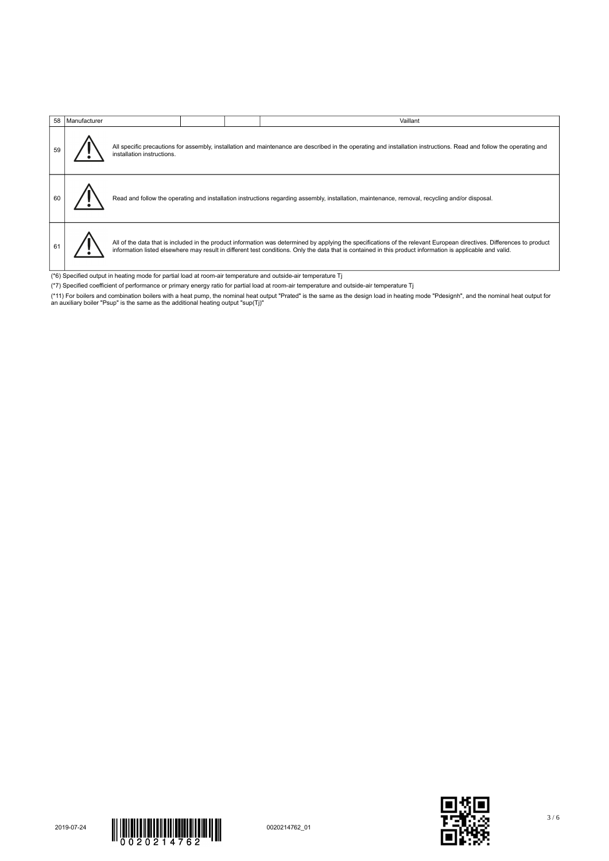|                                                                                                               | 58   Manufacturer |                                                                                                                                                                                                   |  |  | Vaillant                                                                                                                                                                                                                                                                                                                            |  |  |  |
|---------------------------------------------------------------------------------------------------------------|-------------------|---------------------------------------------------------------------------------------------------------------------------------------------------------------------------------------------------|--|--|-------------------------------------------------------------------------------------------------------------------------------------------------------------------------------------------------------------------------------------------------------------------------------------------------------------------------------------|--|--|--|
|                                                                                                               |                   | All specific precautions for assembly, installation and maintenance are described in the operating and installation instructions. Read and follow the operating and<br>installation instructions. |  |  |                                                                                                                                                                                                                                                                                                                                     |  |  |  |
|                                                                                                               |                   |                                                                                                                                                                                                   |  |  | Read and follow the operating and installation instructions regarding assembly, installation, maintenance, removal, recycling and/or disposal.                                                                                                                                                                                      |  |  |  |
|                                                                                                               |                   |                                                                                                                                                                                                   |  |  | All of the data that is included in the product information was determined by applying the specifications of the relevant European directives. Differences to product<br>information listed elsewhere may result in different test conditions. Only the data that is contained in this product information is applicable and valid. |  |  |  |
| (*6) Specified output in heating mode for partial load at room-air temperature and outside-air temperature Tj |                   |                                                                                                                                                                                                   |  |  |                                                                                                                                                                                                                                                                                                                                     |  |  |  |

- 
- (\*7) Specified coefficient of performance or primary energy ratio for partial load at room-air temperature and outside-air temperature Tj
- (\*11) For boilers and combination boilers with a heat pump, the nominal heat output "Prated" is the same as the design load in heating mode "Pdesignh", and the nominal heat output for<br>an auxiliary boiler "Psup" is the sam



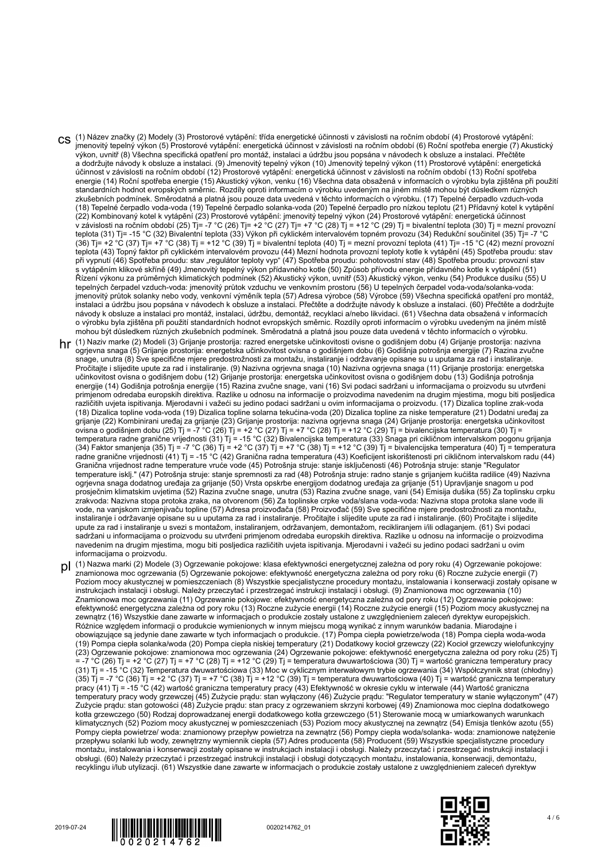- CS <sup>(1) Název značky (2) Modely (3) Prostorové vytápění: třída energetické účinnosti v závislosti na ročním období (4) Prostorové vytápění:</sup> jmenovitý tepelný výkon (5) Prostorové vytápění: energetická účinnost v závislosti na ročním období (6) Roční spotřeba energie (7) Akustický výkon, uvnitř (8) Všechna specifická opatření pro montáž, instalaci a údržbu jsou popsána v návodech k obsluze a instalaci. Přečtěte a dodržujte návody k obsluze a instalaci. (9) Jmenovitý tepelný výkon (10) Jmenovitý tepelný výkon (11) Prostorové vytápění: energetická účinnost v závislosti na ročním období (12) Prostorové vytápění: energetická účinnost v závislosti na ročním období (13) Roční spotřeba energie (14) Roční spotřeba energie (15) Akustický výkon, venku (16) Všechna data obsažená v informacích o výrobku byla zjištěna při použití standardních hodnot evropských směrnic. Rozdíly oproti informacím o výrobku uvedeným na jiném místě mohou být důsledkem různých zkušebních podmínek. Směrodatná a platná jsou pouze data uvedená v těchto informacích o výrobku. (17) Tepelné čerpadlo vzduch-voda (18) Tepelné čerpadlo voda-voda (19) Tepelné čerpadlo solanka-voda (20) Tepelné čerpadlo pro nízkou teplotu (21) Přídavný kotel k vytápění (22) Kombinovaný kotel k vytápění (23) Prostorové vytápění: jmenovitý tepelný výkon (24) Prostorové vytápění: energetická účinnost v závislosti na ročním období (25) Tj= -7 °C (26) Tj= +2 °C (27) Tj= +7 °C (28) Tj = +12 °C (29) Tj = bivalentní teplota (30) Tj = mezní provozní teplota (31) Tj= -15 °C (32) Bivalentní teplota (33) Výkon při cyklickém intervalovém topném provozu (34) Redukční součinitel (35) Tj= -7 °C (36) Tj= +2 °C (37) Tj= +7 °C (38) Tj = +12 °C (39) Tj = bivalentní teplota (40) Tj = mezní provozní teplota (41) Tj= -15 °C (42) mezní provozní teplota (43) Topný faktor při cyklickém intervalovém provozu (44) Mezní hodnota provozní teploty kotle k vytápění (45) Spotřeba proudu: stav při vypnutí (46) Spotřeba proudu: stav "regulátor teploty vyp" (47) Spotřeba proudu: pohotovostní stav (48) Spotřeba proudu: provozní stav s vytápěním klikové skříně (49) Jmenovitý tepelný výkon přídavného kotle (50) Způsob přívodu energie přídavného kotle k vytápění (51) Řízení výkonu za průměrných klimatických podmínek (52) Akustický výkon, uvnitř (53) Akustický výkon, venku (54) Produkce dusíku (55) U tepelných čerpadel vzduch-voda: jmenovitý průtok vzduchu ve venkovním prostoru (56) U tepelných čerpadel voda-voda/solanka-voda: jmenovitý průtok solanky nebo vody, venkovní výměník tepla (57) Adresa výrobce (58) Výrobce (59) Všechna specifická opatření pro montáž, instalaci a údržbu jsou popsána v návodech k obsluze a instalaci. Přečtěte a dodržujte návody k obsluze a instalaci. (60) Přečtěte a dodržujte návody k obsluze a instalaci pro montáž, instalaci, údržbu, demontáž, recyklaci a/nebo likvidaci. (61) Všechna data obsažená v informacích o výrobku byla zjištěna při použití standardních hodnot evropských směrnic. Rozdíly oproti informacím o výrobku uvedeným na jiném místě mohou být důsledkem různých zkušebních podmínek. Směrodatná a platná jsou pouze data uvedená v těchto informacích o výrobku.
- hr (1) Naziv marke (2) Modeli (3) Grijanje prostorija: razred energetske učinkovitosti ovisne o godišnjem dobu (4) Grijanje prostorija: nazivna ogrjevna snaga (5) Grijanje prostorija: energetska učinkovitost ovisna o godišnjem dobu (6) Godišnja potrošnja energije (7) Razina zvučne snage, unutra (8) Sve specifične mjere predostrožnosti za montažu, instaliranje i održavanje opisane su u uputama za rad i instaliranje. Pročitajte i slijedite upute za rad i instaliranje. (9) Nazivna ogrjevna snaga (10) Nazivna ogrjevna snaga (11) Grijanje prostorija: energetska učinkovitost ovisna o godišnjem dobu (12) Grijanje prostorija: energetska učinkovitost ovisna o godišnjem dobu (13) Godišnja potrošnja energije (14) Godišnja potrošnja energije (15) Razina zvučne snage, vani (16) Svi podaci sadržani u informacijama o proizvodu su utvrđeni primjenom odredaba europskih direktiva. Razlike u odnosu na informacije o proizvodima navedenim na drugim mjestima, mogu biti posljedica različitih uvjeta ispitivanja. Mjerodavni i važeći su jedino podaci sadržani u ovim informacijama o proizvodu. (17) Dizalica topline zrak-voda (18) Dizalica topline voda-voda (19) Dizalica topline solarna tekućina-voda (20) Dizalica topline za niske temperature (21) Dodatni uređaj za grijanje (22) Kombinirani uređaj za grijanje (23) Grijanje prostorija: nazivna ogrjevna snaga (24) Grijanje prostorija: energetska učinkovitost ovisna o godišnjem dobu (25) Tj = -7 °C (26) Tj = +2 °C (27) Tj = +7 °C (28) Tj = +12 °C (29) Tj = bivalencijska temperatura (30) Tj = temperatura radne granične vrijednosti (31) Tj = -15 °C (32) Bivalencijska temperatura (33) Snaga pri cikličnom intervalskom pogonu grijanja (34) Faktor smanjenja (35) Tj = -7 °C (36) Tj = +2 °C (37) Tj = +7 °C (38) Tj = +12 °C (39) Tj = bivalencijska temperatura (40) Tj = temperatura radne granične vrijednosti (41) Tj = -15 °C (42) Granična radna temperatura (43) Koeficijent iskorištenosti pri cikličnom intervalskom radu (44) Granična vrijednost radne temperature vruće vode (45) Potrošnja struje: stanje isključenosti (46) Potrošnja struje: stanje "Regulator temperature isklj." (47) Potrošnja struje: stanje spremnosti za rad (48) Potrošnja struje: radno stanje s grijanjem kućišta radilice (49) Nazivna ogrjevna snaga dodatnog uređaja za grijanje (50) Vrsta opskrbe energijom dodatnog uređaja za grijanje (51) Upravljanje snagom u pod prosječnim klimatskim uvjetima (52) Razina zvučne snage, unutra (53) Razina zvučne snage, vani (54) Emisija dušika (55) Za toplinsku crpku zrakvoda: Nazivna stopa protoka zraka, na otvorenom (56) Za toplinske crpke voda/slana voda-voda: Nazivna stopa protoka slane vode ili vode, na vanjskom izmjenjivaču topline (57) Adresa proizvođača (58) Proizvođač (59) Sve specifične mjere predostrožnosti za montažu, instaliranje i održavanje opisane su u uputama za rad i instaliranje. Pročitajte i slijedite upute za rad i instaliranje. (60) Pročitajte i slijedite upute za rad i instaliranje u svezi s montažom, instaliranjem, održavanjem, demontažom, recikliranjem i/ili odlaganjem. (61) Svi podaci sadržani u informacijama o proizvodu su utvrđeni primjenom odredaba europskih direktiva. Razlike u odnosu na informacije o proizvodima navedenim na drugim mjestima, mogu biti posljedica različitih uvjeta ispitivanja. Mjerodavni i važeći su jedino podaci sadržani u ovim informacijama o proizvodu.
- pl (1) Nazwa marki (2) Modele (3) Ogrzewanie pokojowe: klasa efektywności energetycznej zależna od pory roku (4) Ogrzewanie pokojowe: znamionowa moc ogrzewania (5) Ogrzewanie pokojowe: efektywność energetyczna zależna od pory roku (6) Roczne zużycie energii (7) Poziom mocy akustycznej w pomieszczeniach (8) Wszystkie specjalistyczne procedury montażu, instalowania i konserwacji zostały opisane w instrukcjach instalacji i obsługi. Należy przeczytać i przestrzegać instrukcji instalacji i obsługi. (9) Znamionowa moc ogrzewania (10) Znamionowa moc ogrzewania (11) Ogrzewanie pokojowe: efektywność energetyczna zależna od pory roku (12) Ogrzewanie pokojowe: efektywność energetyczna zależna od pory roku (13) Roczne zużycie energii (14) Roczne zużycie energii (15) Poziom mocy akustycznej na zewnątrz (16) Wszystkie dane zawarte w informacjach o produkcie zostały ustalone z uwzględnieniem zaleceń dyrektyw europejskich. Różnice względem informacji o produkcie wymienionych w innym miejscu mogą wynikać z innym warunków badania. Miarodajne i obowiązujące są jedynie dane zawarte w tych informacjach o produkcie. (17) Pompa ciepła powietrze/woda (18) Pompa ciepła woda-woda (19) Pompa ciepła solanka/woda (20) Pompa ciepła niskiej temperatury (21) Dodatkowy kocioł grzewczy (22) Kocioł grzewczy wielofunkcyjny (23) Ogrzewanie pokojowe: znamionowa moc ogrzewania (24) Ogrzewanie pokojowe: efektywność energetyczna zależna od pory roku (25) Tj = -7 °C (26) Tj = +2 °C (27) Tj = +7 °C (28) Tj = +12 °C (29) Tj = temperatura dwuwartościowa (30) Tj = wartość graniczna temperatury pracy (31) Tj = -15 °C (32) Temperatura dwuwartościowa (33) Moc w cyklicznym interwałowym trybie ogrzewania (34) Współczynnik strat (chłodny) (35) Tj = -7 °C (36) Tj = +2 °C (37) Tj = +7 °C (38) Tj = +12 °C (39) Tj = temperatura dwuwartościowa (40) Tj = wartość graniczna temperatury pracy (41) Tj = -15 °C (42) wartość graniczna temperatury pracy (43) Efektywność w okresie cyklu w interwale (44) Wartość graniczna temperatury pracy wody grzewczej (45) Zużycie prądu: stan wyłączony (46) Zużycie prądu: "Regulator temperatury w stanie wyłączonym" (47) Zużycie prądu: stan gotowości (48) Zużycie prądu: stan pracy z ogrzewaniem skrzyni korbowej (49) Znamionowa moc cieplna dodatkowego kotła grzewczego (50) Rodzaj doprowadzanej energii dodatkowego kotła grzewczego (51) Sterowanie mocą w umiarkowanych warunkach klimatycznych (52) Poziom mocy akustycznej w pomieszczeniach (53) Poziom mocy akustycznej na zewnątrz (54) Emisja tlenków azotu (55) Pompy ciepła powietrze/ woda: znamionowy przepływ powietrza na zewnątrz (56) Pompy ciepła woda/solanka- woda: znamionowe natężenie przepływu solanki lub wody, zewnętrzny wymiennik ciepła (57) Adres producenta (58) Producent (59) Wszystkie specjalistyczne procedury montażu, instalowania i konserwacji zostały opisane w instrukcjach instalacji i obsługi. Należy przeczytać i przestrzegać instrukcji instalacji i obsługi. (60) Należy przeczytać i przestrzegać instrukcji instalacji i obsługi dotyczących montażu, instalowania, konserwacji, demontażu, recyklingu i/lub utylizacji. (61) Wszystkie dane zawarte w informacjach o produkcie zostały ustalone z uwzględnieniem zaleceń dyrektyw



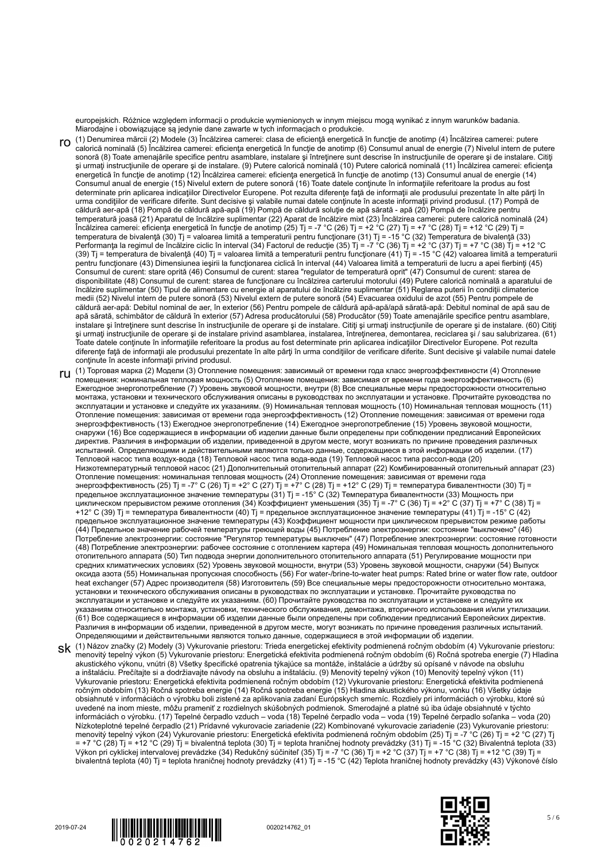europejskich. Różnice względem informacji o produkcie wymienionych w innym miejscu mogą wynikać z innym warunków badania. Miarodajne i obowiązujące są jedynie dane zawarte w tych informacjach o produkcie.

- ro (1) Denumirea mărcii (2) Modele (3) Încălzirea camerei: clasa de eficienţă energetică în funcţie de anotimp (4) Încălzirea camerei: putere calorică nominală (5) Încălzirea camerei: eficienţa energetică în funcţie de anotimp (6) Consumul anual de energie (7) Nivelul intern de putere sonoră (8) Toate amenajările specifice pentru asamblare, instalare şi întreţinere sunt descrise în instrucţiunile de operare şi de instalare. Citiţi şi urmaţi instrucţiunile de operare şi de instalare. (9) Putere calorică nominală (10) Putere calorică nominală (11) Încălzirea camerei: eficienţa energetică în funcție de anotimp (12) Încălzirea camerei: eficiența energetică în funcție de anotimp (13) Consumul anual de energie (14) Consumul anual de energie (15) Nivelul extern de putere sonoră (16) Toate datele conţinute în informaţiile referitoare la produs au fost determinate prin aplicarea indicațiilor Directivelor Europene. Pot rezulta diferențe față de informații ale produsului prezentate în alte părți în urma condiţiilor de verificare diferite. Sunt decisive şi valabile numai datele conţinute în aceste informaţii privind produsul. (17) Pompă de căldură aer-apă (18) Pompă de căldură apă-apă (19) Pompă de căldură soluţie de apă sărată - apă (20) Pompă de încălzire pentru temperatură joasă (21) Aparatul de încălzire suplimentar (22) Aparat de încălzire mixt (23) Încălzirea camerei: putere calorică nominală (24) Încălzirea camerei: eficienţa energetică în funcţie de anotimp (25) Tj = -7 °C (26) Tj = +2 °C (27) Tj = +7 °C (28) Tj = +12 °C (29) Tj = temperatura de bivalenţă (30) Tj = valoarea limită a temperaturii pentru funcţionare (31) Tj = -15 °C (32) Temperatura de bivalenţă (33) Performanţa la regimul de încălzire ciclic în interval (34) Factorul de reducţie (35) Tj = -7 °C (36) Tj = +2 °C (37) Tj = +7 °C (38) Tj = +12 °C (39) Tj = temperatura de bivalenţă (40) Tj = valoarea limită a temperaturii pentru funcţionare (41) Tj = -15 °C (42) valoarea limită a temperaturii pentru funcționare (43) Dimensiunea ieșirii la funcționarea ciclică în interval (44) Valoarea limită a temperaturii de lucru a apei fierbinți (45) Consumul de curent: stare oprită (46) Consumul de curent: starea "regulator de temperatură oprit" (47) Consumul de curent: starea de disponibilitate (48) Consumul de curent: starea de funcţionare cu încălzirea carterului motorului (49) Putere calorică nominală a aparatului de încălzire suplimentar (50) Tipul de alimentare cu energie al aparatului de încălzire suplimentar (51) Reglarea puterii în condiţii climaterice medii (52) Nivelul intern de putere sonoră (53) Nivelul extern de putere sonoră (54) Evacuarea oxidului de azot (55) Pentru pompele de căldură aer-apă: Debitul nominal de aer, în exterior (56) Pentru pompele de căldură apă-apă/apă sărată-apă: Debitul nominal de apă sau de apă sărată, schimbător de căldură în exterior (57) Adresa producătorului (58) Producător (59) Toate amenajările specifice pentru asamblare, instalare şi întreţinere sunt descrise în instrucţiunile de operare şi de instalare. Citiţi şi urmaţi instrucţiunile de operare şi de instalare. (60) Citiţi şi urmaţi instrucţiunile de operare şi de instalare privind asamblarea, instalarea, întreţinerea, demontarea, reciclarea şi / sau salubrizarea. (61) Toate datele conţinute în informaţiile referitoare la produs au fost determinate prin aplicarea indicaţiilor Directivelor Europene. Pot rezulta diferenţe faţă de informaţii ale produsului prezentate în alte părţi în urma condiţiilor de verificare diferite. Sunt decisive şi valabile numai datele conţinute în aceste informaţii privind produsul.
- ru (1) Торговая марка (2) Модели (3) Отопление помещения: зависимый от времени года класс энергоэффективности (4) Отопление помещения: номинальная тепловая мощность (5) Отопление помещения: зависимая от времени года энергоэффективность (6) Ежегодное энергопотребление (7) Уровень звуковой мощности, внутри (8) Все специальные меры предосторожности относительно монтажа, установки и технического обслуживания описаны в руководствах по эксплуатации и установке. Прочитайте руководства по эксплуатации и установке и следуйте их указаниям. (9) Номинальная тепловая мощность (10) Номинальная тепловая мощность (11) Отопление помещения: зависимая от времени года энергоэффективность (12) Отопление помещения: зависимая от времени года энергоэффективность (13) Ежегодное энергопотребление (14) Ежегодное энергопотребление (15) Уровень звуковой мощности, снаружи (16) Все содержащиеся в информации об изделии данные были определены при соблюдении предписаний Европейских директив. Различия в информации об изделии, приведенной в другом месте, могут возникать по причине проведения различных испытаний. Определяющими и действительными являются только данные, содержащиеся в этой информации об изделии. (17) Тепловой насос типа воздух-вода (18) Тепловой насос типа вода-вода (19) Тепловой насос типа рассол-вода (20) Низкотемпературный тепловой насос (21) Дополнительный отопительный аппарат (22) Комбинированный отопительный аппарат (23) Отопление помещения: номинальная тепловая мощность (24) Отопление помещения: зависимая от времени года энергоэффективность (25) Тј = -7° С (26) Тј = +2° С (27) Тј = +7° С (28) Тј = +12° С (29) Тј = температура бивалентности (30) Тј = предельное эксплуатационное значение температуры (31) Tj = -15° C (32) Температура бивалентности (33) Мощность при циклическом прерывистом режиме отопления (34) Коэффициент уменьшения (35) Tj = -7° C (36) Tj = +2° C (37) Tj = +7° C (38) Tj = +12° C (39) Tj = температура бивалентности (40) Tj = предельное эксплуатационное значение температуры (41) Tj = -15° C (42) предельное эксплуатационное значение температуры (43) Коэффициент мощности при циклическом прерывистом режиме работы (44) Предельное значение рабочей температуры греющей воды (45) Потребление электроэнергии: состояние "выключено" (46) Потребление электроэнергии: состояние "Регулятор температуры выключен" (47) Потребление электроэнергии: состояние готовности (48) Потребление электроэнергии: рабочее состояние с отоплением картера (49) Номинальная тепловая мощность дополнительного отопительного аппарата (50) Тип подвода энергии дополнительного отопительного аппарата (51) Регулирование мощности при средних климатических условиях (52) Уровень звуковой мощности, внутри (53) Уровень звуковой мощности, снаружи (54) Выпуск оксида азота (55) Номинальная пропускная способность (56) For water-/brine-to-water heat pumps: Rated brine or water flow rate, outdoor heat exchanger (57) Адрес производителя (58) Изготовитель (59) Все специальные меры предосторожности относительно монтажа, установки и технического обслуживания описаны в руководствах по эксплуатации и установке. Прочитайте руководства по эксплуатации и установке и следуйте их указаниям. (60) Прочитайте руководства по эксплуатации и установке и следуйте их указаниям относительно монтажа, установки, технического обслуживания, демонтажа, вторичного использования и/или утилизации. (61) Все содержащиеся в информации об изделии данные были определены при соблюдении предписаний Европейских директив. Различия в информации об изделии, приведенной в другом месте, могут возникать по причине проведения различных испытаний. Определяющими и действительными являются только данные, содержащиеся в этой информации об изделии.
- SK (1) Názov značky (2) Modely (3) Vykurovanie priestoru: Trieda energetickej efektivity podmienená ročným obdobím (4) Vykurovanie priestoru:<br>menovitý tepelný výkon (5) Vykurovanie priestoru: Energetická efektivita podmie akustického výkonu, vnútri (8) Všetky špecifické opatrenia týkajúce sa montáže, inštalácie a údržby sú opísané v návode na obsluhu a inštaláciu. Prečítajte si a dodržiavajte návody na obsluhu a inštaláciu. (9) Menovitý tepelný výkon (10) Menovitý tepelný výkon (11) Vykurovanie priestoru: Energetická efektivita podmienená ročným obdobím (12) Vykurovanie priestoru: Energetická efektivita podmienená ročným obdobím (13) Ročná spotreba energie (14) Ročná spotreba energie (15) Hladina akustického výkonu, vonku (16) Všetky údaje obsiahnuté v informáciách o výrobku boli zistené za aplikovania zadaní Európskych smerníc. Rozdiely pri informáciách o výrobku, ktoré sú uvedené na inom mieste, môžu prameniť z rozdielnych skúšobných podmienok. Smerodajné a platné sú iba údaje obsiahnuté v týchto informáciách o výrobku. (17) Tepelné čerpadlo vzduch – voda (18) Tepelné čerpadlo voda – voda (19) Tepelné čerpadlo soľanka – voda (20) Nízkoteplotné tepelné čerpadlo (21) Prídavné vykurovacie zariadenie (22) Kombinované vykurovacie zariadenie (23) Vykurovanie priestoru: menovitý tepelný výkon (24) Vykurovanie priestoru: Energetická efektivita podmienená ročným obdobím (25) Tj = -7 °C (26) Tj = +2 °C (27) Tj = +7 °C (28) Tj = +12 °C (29) Tj = bivalentná teplota (30) Tj = teplota hraničnej hodnoty prevádzky (31) Tj = -15 °C (32) Bivalentná teplota (33) Výkon pri cyklickej intervalovej prevádzke (34) Redukčný súčiniteľ (35) Tj = -7 °C (36) Tj = +2 °C (37) Tj = +7 °C (38) Tj = +12 °C (39) Tj = bivalentná teplota (40) Tj = teplota hraničnej hodnoty prevádzky (41) Tj = -15 °C (42) Teplota hraničnej hodnoty prevádzky (43) Výkonové číslo